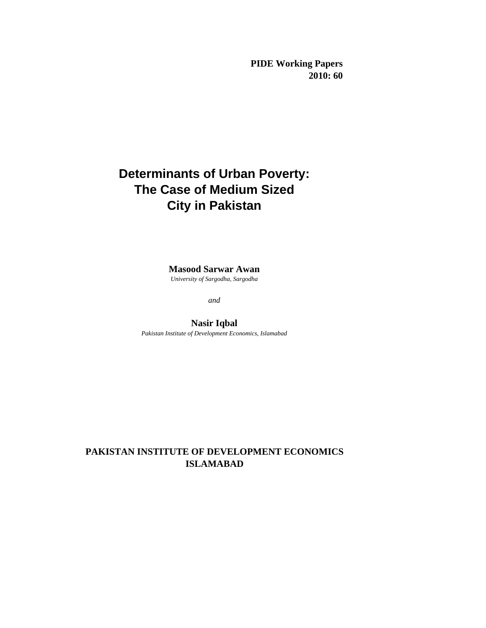**PIDE Working Papers 2010: 60**

# **Determinants of Urban Poverty: The Case of Medium Sized City in Pakistan**

**Masood Sarwar Awan**  *University of Sargodha, Sargodha*

*and*

**Nasir Iqbal** *Pakistan Institute of Development Economics, Islamabad*

# **PAKISTAN INSTITUTE OF DEVELOPMENT ECONOMICS ISLAMABAD**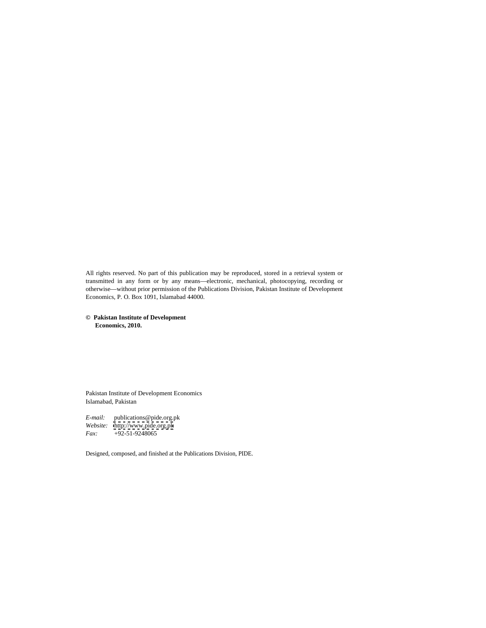All rights reserved. No part of this publication may be reproduced, stored in a retrieval system or transmitted in any form or by any means—electronic, mechanical, photocopying, recording or otherwise—without prior permission of the Publications Division, Pakistan Institute of Development Economics, P. O. Box 1091, Islamabad 44000.

# **© Pakistan Institute of Development Economics, 2010.**

Pakistan Institute of Development Economics Islamabad, Pakistan

*E-mail:* publications@pide.org.pk *Website:* <http://www.pide.org.pk> *Fax:* +92-51-9248065

Designed, composed, and finished at the Publications Division, PIDE.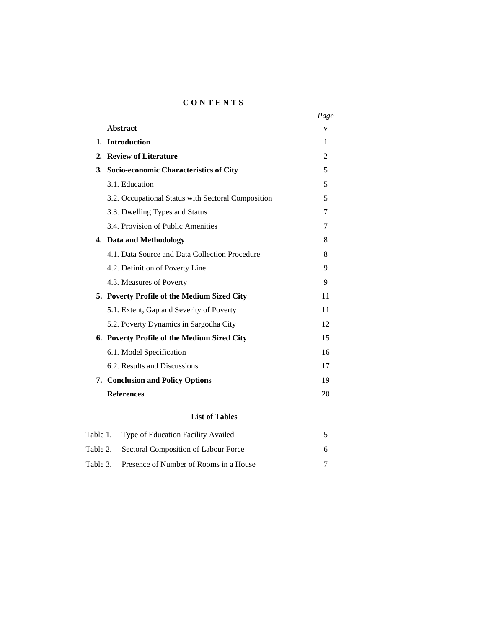# **C O N T E N T S**

|                                                    | Page     |  |
|----------------------------------------------------|----------|--|
| Abstract                                           |          |  |
| 1. Introduction                                    |          |  |
| 2. Review of Literature                            |          |  |
| 3. Socio-economic Characteristics of City          |          |  |
| 3.1. Education                                     |          |  |
| 3.2. Occupational Status with Sectoral Composition |          |  |
| 3.3. Dwelling Types and Status                     |          |  |
| 3.4. Provision of Public Amenities                 |          |  |
| 4. Data and Methodology                            |          |  |
| 4.1. Data Source and Data Collection Procedure     | $\Delta$ |  |
| 4.2. Definition of Poverty Line                    |          |  |
| 4.3. Measures of Poverty                           |          |  |
| 5. Poverty Profile of the Medium Sized City        | 11       |  |
| 5.1. Extent, Gap and Severity of Poverty           | 11       |  |
| 5.2. Poverty Dynamics in Sargodha City             | 12       |  |
| 6. Poverty Profile of the Medium Sized City        | 15       |  |
| 6.1. Model Specification                           | 16       |  |
| 6.2. Results and Discussions                       | 17       |  |
| 7. Conclusion and Policy Options                   | 19       |  |
| <b>References</b>                                  | 20       |  |
|                                                    |          |  |

# **List of Tables**

| Table 1. Type of Education Facility Availed     |  |
|-------------------------------------------------|--|
| Table 2. Sectoral Composition of Labour Force   |  |
| Table 3. Presence of Number of Rooms in a House |  |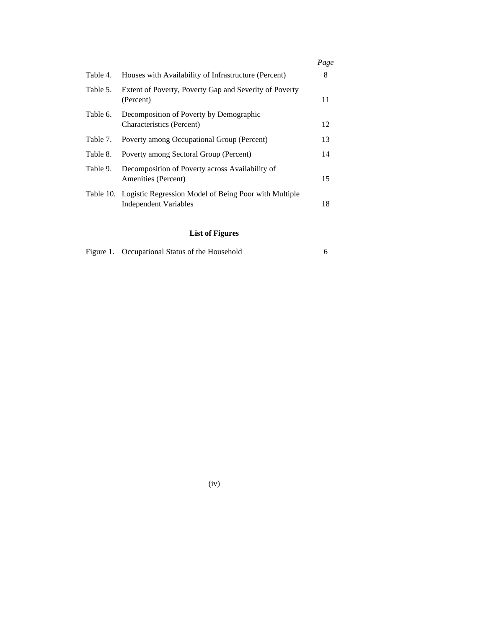|          |                                                                                                 | Page |
|----------|-------------------------------------------------------------------------------------------------|------|
|          | Table 4. Houses with Availability of Infrastructure (Percent)                                   |      |
|          | Table 5. Extent of Poverty, Poverty Gap and Severity of Poverty<br>(Percent)                    |      |
| Table 6. | Decomposition of Poverty by Demographic<br>Characteristics (Percent)                            |      |
| Table 7. | Poverty among Occupational Group (Percent)                                                      |      |
| Table 8. | Poverty among Sectoral Group (Percent)                                                          |      |
| Table 9. | Decomposition of Poverty across Availability of<br>Amenities (Percent)                          | LD   |
|          | Table 10. Logistic Regression Model of Being Poor with Multiple<br><b>Independent Variables</b> | 18   |

# **List of Figures**

| Figure 1. Occupational Status of the Household<br>____ |  |
|--------------------------------------------------------|--|
|--------------------------------------------------------|--|

(iv)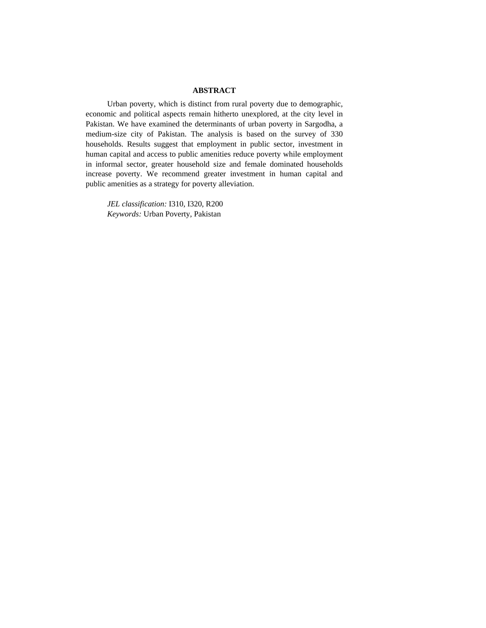# **ABSTRACT**

Urban poverty, which is distinct from rural poverty due to demographic, economic and political aspects remain hitherto unexplored, at the city level in Pakistan. We have examined the determinants of urban poverty in Sargodha, a medium-size city of Pakistan. The analysis is based on the survey of 330 households. Results suggest that employment in public sector, investment in human capital and access to public amenities reduce poverty while employment in informal sector, greater household size and female dominated households increase poverty. We recommend greater investment in human capital and public amenities as a strategy for poverty alleviation.

*JEL classification:* I310, I320, R200 *Keywords:* Urban Poverty, Pakistan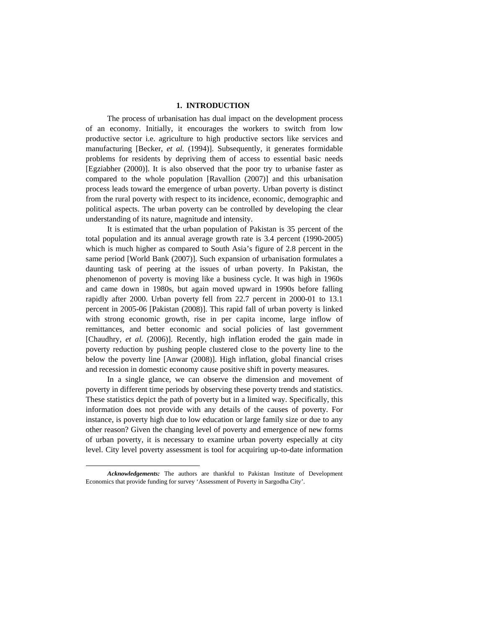# **1. INTRODUCTION\***

The process of urbanisation has dual impact on the development process of an economy. Initially, it encourages the workers to switch from low productive sector i.e. agriculture to high productive sectors like services and manufacturing [Becker, *et al.* (1994)]. Subsequently, it generates formidable problems for residents by depriving them of access to essential basic needs [Egziabher (2000)]. It is also observed that the poor try to urbanise faster as compared to the whole population [Ravallion (2007)] and this urbanisation process leads toward the emergence of urban poverty. Urban poverty is distinct from the rural poverty with respect to its incidence, economic, demographic and political aspects. The urban poverty can be controlled by developing the clear understanding of its nature, magnitude and intensity. It is estimated that the urban population of Pakistan is <sup>35</sup> percent of the

total population and its annual average growth rate is 3.4 percent (1990-2005) which is much higher as compared to South Asia's figure of 2.8 percent in the same period [World Bank (2007)]. Such expansion of urbanisation formulates a daunting task of peering at the issues of urban poverty. In Pakistan, the phenomenon of poverty is moving like a business cycle. It was high in 1960s and came down in 1980s, but again moved upward in 1990s before falling rapidly after 2000. Urban poverty fell from 22.7 percent in 2000-01 to 13.1 percent in 2005-06 [Pakistan (2008)]. This rapid fall of urban poverty is linked with strong economic growth, rise in per capita income, large inflow of remittances, and better economic and social policies of last government [Chaudhry, *et al.* (2006)]. Recently, high inflation eroded the gain made in poverty reduction by pushing people clustered close to the poverty line to the below the poverty line [Anwar (2008)]. High inflation, global financial crises and recession in domestic economy cause positive shift in poverty measures.

In a single glance, we can observe the dimension and movement of poverty in different time periods by observing these poverty trends and statistics. These statistics depict the path of poverty but in a limited way. Specifically, this information does not provide with any details of the causes of poverty. For instance, is poverty high due to low education or large family size or due to any other reason? Given the changing level of poverty and emergence of new forms of urban poverty, it is necessary to examine urban poverty especially at city level. City level poverty assessment is tool for acquiring up-to-date information

 $\overline{a}$ 

*Acknowledgements:* The authors are thankful to Pakistan Institute of Development Economics that provide funding for survey 'Assessment of Poverty in Sargodha City'.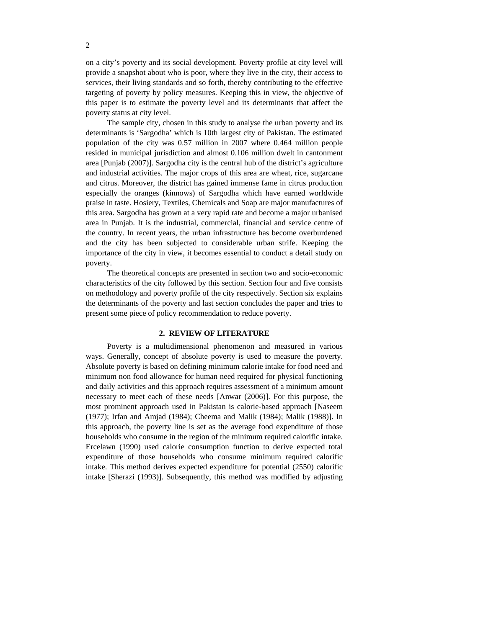on a city's poverty and its social development.Poverty profile at city level will provide a snapshot about who is poor, where they live in the city, their access to services, their living standards and so forth, thereby contributing to the effective targeting of poverty by policy measures. Keeping this in view, the objective of this paper is to estimate the poverty level and its determinants that affect the poverty status at city level.

The sample city, chosen in this study to analyse the urban poverty and its determinants is 'Sargodha' which is 10th largest city of Pakistan. The estimated population of the city was 0.57 million in 2007 where 0.464 million people resided in municipal jurisdiction and almost 0.106 million dwelt in cantonment area [Punjab (2007)]. Sargodha city is the central hub of the district's agriculture and industrial activities. The major crops of this area are wheat, rice, sugarcane and citrus. Moreover, the district has gained immense fame in citrus production especially the oranges (kinnows) of Sargodha which have earned worldwide praise in taste. Hosiery, Textiles, Chemicals and Soap are major manufactures of this area. Sargodha has grown at a very rapid rate and become a major urbanised area in Punjab. It is the industrial, commercial, financial and service centre of the country. In recent years, the urban infrastructure has become overburdened and the city has been subjected to considerable urban strife. Keeping the importance of the city in view, it becomes essential to conduct a detail study on poverty.

The theoretical concepts are presented in section two and socio-economic characteristics of the city followed by this section. Section four and five consists on methodology and poverty profile of the city respectively. Section six explains the determinants of the poverty and last section concludes the paper and tries to present some piece of policy recommendation to reduce poverty.

# **2. REVIEW OF LITERATURE**

Poverty is a multidimensional phenomenon and measured in various ways. Generally, concept of absolute poverty is used to measure the poverty. Absolute poverty is based on defining minimum calorie intake for food need and minimum non food allowance for human need required for physical functioning and daily activities and this approach requires assessment of a minimum amount necessary to meet each of these needs [Anwar (2006)]. For this purpose, the most prominent approach used in Pakistan is calorie-based approach [Naseem (1977); Irfan and Amjad (1984); Cheema and Malik (1984); Malik (1988)]. In this approach, the poverty line is set as the average food expenditure of those households who consume in the region of the minimum required calorific intake. Ercelawn (1990) used calorie consumption function to derive expected total expenditure of those households who consume minimum required calorific intake. This method derives expected expenditure for potential (2550) calorific intake [Sherazi (1993)]. Subsequently, this method was modified by adjusting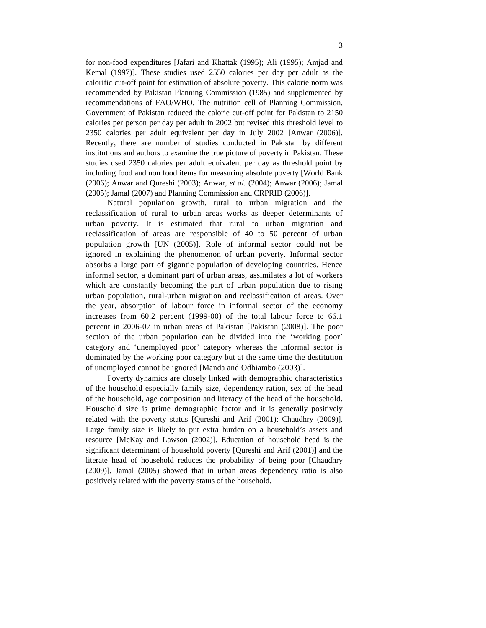for non-food expenditures [Jafari and Khattak (1995); Ali (1995); Amjad and Kemal (1997)]. These studies used 2550 calories per day per adult as the calorific cut-off point for estimation of absolute poverty. This calorie norm was recommended by Pakistan Planning Commission (1985) and supplemented by recommendations of FAO/WHO. The nutrition cell of Planning Commission, Government of Pakistan reduced the calorie cut-off point for Pakistan to 2150 calories per person per day per adult in 2002 but revised this threshold level to 2350 calories per adult equivalent per day in July 2002 [Anwar (2006)]. Recently, there are number of studies conducted in Pakistan by different institutions and authors to examine the true picture of poverty in Pakistan. These studies used 2350 calories per adult equivalent per day as threshold point by including food and non food items for measuring absolute poverty [World Bank (2006); Anwar and Qureshi (2003); Anwar, *et al.* (2004); Anwar (2006); Jamal (2005); Jamal (2007) and Planning Commission and CRPRID (2006)].

Natural population growth, rural to urban migration and the reclassification of rural to urban areas works as deeper determinants of urban poverty. It is estimated that rural to urban migration and reclassification of areas are responsible of 40 to 50 percent of urban population growth [UN (2005)]. Role of informal sector could not be ignored in explaining the phenomenon of urban poverty. Informal sector absorbs a large part of gigantic population of developing countries. Hence informal sector, a dominant part of urban areas, assimilates a lot of workers which are constantly becoming the part of urban population due to rising urban population, rural-urban migration and reclassification of areas. Over the year, absorption of labour force in informal sector of the economy increases from 60.2 percent (1999-00) of the total labour force to 66.1 percent in 2006-07 in urban areas of Pakistan [Pakistan (2008)]. The poor section of the urban population can be divided into the 'working poor' category and 'unemployed poor' category whereas the informal sector is dominated by the working poor category but at the same time the destitution of unemployed cannot be ignored [Manda and Odhiambo (2003)].

Poverty dynamics are closely linked with demographic characteristics of the household especially family size, dependency ration, sex of the head of the household, age composition and literacy of the head of the household. Household size is prime demographic factor and it is generally positively related with the poverty status [Qureshi and Arif (2001); Chaudhry (2009)].<br>Large family size is likely to put extra burden on a household's assets and resource [McKay and Lawson (2002)]. Education of household head is the significant determinant of household poverty [Qureshi and Arif (2001)] and the literate head of household reduces the probability of being poor [Chaudhry (2009)]. Jamal (2005) showed that in urban areas dependency ratio is also positively related with the poverty status of the household.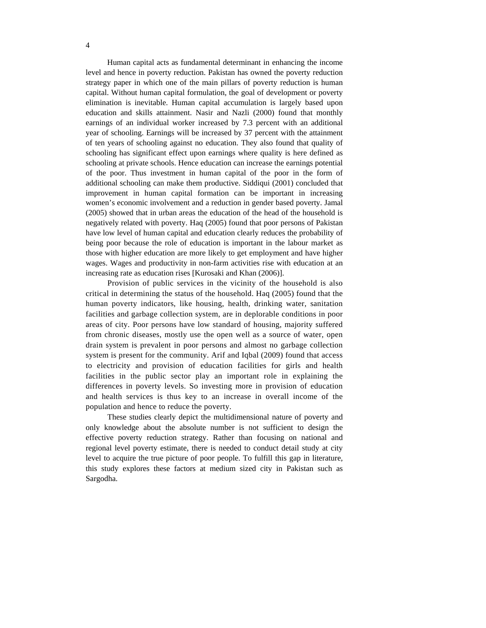Human capital acts as fundamental determinant in enhancing the income level and hence in poverty reduction. Pakistan has owned the poverty reduction strategy paper in which one of the main pillars of poverty reduction is human capital. Without human capital formulation, the goal of development or poverty elimination is inevitable. Human capital accumulation is largely based upon education and skills attainment. Nasir and Nazli (2000) found that monthly earnings of an individual worker increased by 7.3 percent with an additional year of schooling. Earnings will be increased by 37 percent with the attainment of ten years of schooling against no education. They also found that quality of schooling has significant effect upon earnings where quality is here defined as schooling at private schools. Hence education can increase the earnings potential of the poor. Thus investment in human capital of the poor in the form of additional schooling can make them productive. Siddiqui (2001) concluded that improvement in human capital formation can be important in increasing women's economic involvement and a reduction in gender based poverty. Jamal (2005) showed that in urban areas the education of the head of the household is negatively related with poverty. Haq (2005) found that poor persons of Pakistan have low level of human capital and education clearly reduces the probability of being poor because the role of education is important in the labour market as those with higher education are more likely to get employment and have higher wages. Wages and productivity in non-farm activities rise with education at an increasing rate as education rises [Kurosaki and Khan (2006)].

Provision of public services in the vicinity of the household is also critical in determining the status of the household. Haq (2005) found that the human poverty indicators, like housing, health, drinking water, sanitation facilities and garbage collection system, are in deplorable conditions in poor areas of city. Poor persons have low standard of housing, majority suffered from chronic diseases, mostly use the open well as a source of water, open drain system is prevalent in poor persons and almost no garbage collection system is present for the community. Arif and Iqbal (2009) found that access to electricity and provision of education facilities for girls and health facilities in the public sector play an important role in explaining the differences in poverty levels. So investing more in provision of education and health services is thus key to an increase in overall income of the population and hence to reduce the poverty.

These studies clearly depict the multidimensional nature of poverty and only knowledge about the absolute number is not sufficient to design the effective poverty reduction strategy. Rather than focusing on national and regional level poverty estimate, there is needed to conduct detail study at city level to acquire the true picture of poor people. To fulfill this gap in literature, this study explores these factors at medium sized city in Pakistan such as Sargodha.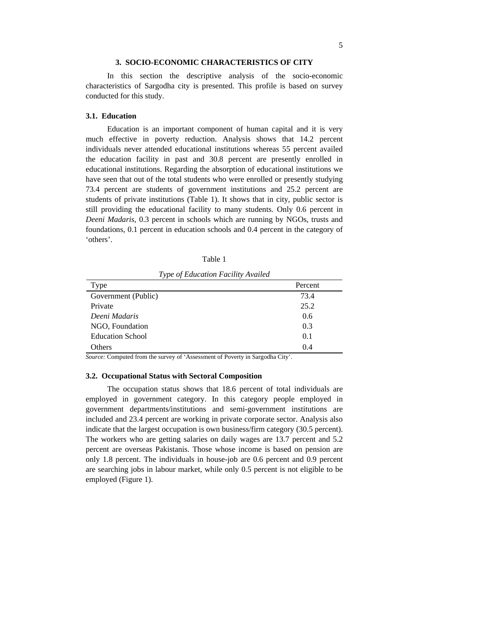#### **3. SOCIO-ECONOMIC CHARACTERISTICS OF CITY**

In this section the descriptive analysis of the socio-economic characteristics of Sargodha city is presented. This profile is based on survey conducted for this study.

# **3.1. Education**

Education is an important component of human capital and it is very much effective in poverty reduction. Analysis shows that 14.2 percent individuals never attended educational institutions whereas 55 percent availed the education facility in past and 30.8 percent are presently enrolled in educational institutions. Regarding the absorption of educational institutions we have seen that out of the total students who were enrolled or presently studying 73.4 percent are students of government institutions and 25.2 percent are students of private institutions (Table 1). It shows that in city, public sector is still providing the educational facility to many students. Only 0.6 percent in *Deeni Madaris*, 0.3 percent in schools which are running by NGOs, trusts and foundations, 0.1 percent in education schools and 0.4 percent in the category of 'others'.

Table 1

*Type of Education Facility Availed*

| Type                    | Percent                         |
|-------------------------|---------------------------------|
| Government (Public)     | 3.4 ا                           |
| Private                 | $\overline{L}$ . $\overline{L}$ |
| Deeni Madaris           | J.O                             |
| NGO, Foundation         |                                 |
| <b>Education School</b> | $\mathbf{v} \cdot \mathbf{r}$   |
| Others                  | J.4                             |

*Source:* Computed from the survey of 'Assessment of Poverty in Sargodha City'.

# **3.2. Occupational Status with Sectoral Composition**

The occupation status shows that 18.6 percent of total individuals are employed in government category. In this category people employed in government departments/institutions and semi-government institutions are included and 23.4 percent are working in private corporate sector. Analysis also indicate that the largest occupation is own business/firm category (30.5 percent). The workers who are getting salaries on daily wages are 13.7 percent and 5.2 percent are overseas Pakistanis. Those whose income is based on pension are only 1.8 percent. The individuals in house-job are 0.6 percent and 0.9 percent are searching jobs in labour market, while only 0.5 percent is not eligible to be employed (Figure 1).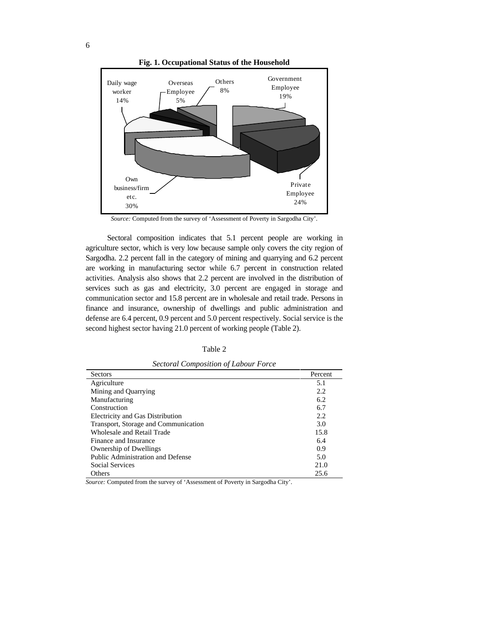

**Fig. 1. Occupational Status of the Household**



Sectoral composition indicates that 5.1 percent people are working in agriculture sector, which is very low because sample only covers the city region of Sargodha. 2.2 percent fall in the category of mining and quarrying and 6.2 percent are working in manufacturing sector while 6.7 percent in construction related activities. Analysis also shows that 2.2 percent are involved in the distribution of services such as gas and electricity, 3.0 percent are engaged in storage and communication sector and 15.8 percent are in wholesale and retail trade. Persons in finance and insurance, ownership of dwellings and public administration and defense are 6.4 percent, 0.9 percent and 5.0 percent respectively. Social service is the second highest sector having 21.0 percent of working people (Table 2).

Table 2

| $\frac{1}{2}$                           |         |
|-----------------------------------------|---------|
| Sectors                                 | Percent |
| Agriculture                             |         |
| Mining and Quarrying                    |         |
| Manufacturing                           |         |
| Construction                            |         |
| <b>Electricity and Gas Distribution</b> |         |
| Transport, Storage and Communication    |         |
| Wholesale and Retail Trade              |         |
| Finance and Insurance                   |         |
| Ownership of Dwellings                  |         |
| Public Administration and Defense       |         |
| <b>Social Services</b>                  | 21.0    |
| Others                                  | 25.6    |

*Sectoral Composition of Labour Force*

*Source:* Computed from the survey of 'Assessment of Poverty in Sargodha City'.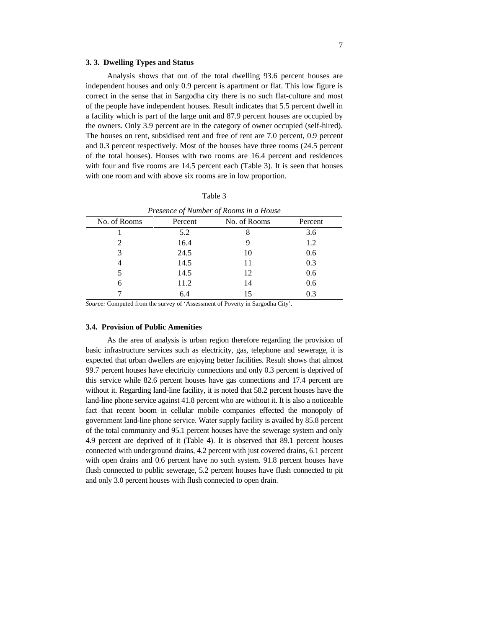# **3. 3. Dwelling Types and Status**

Analysis shows that out of the total dwelling 93.6 percent houses are independent houses and only 0.9 percent is apartment or flat. This low figure is correct in the sense that in Sargodha city there is no such flat-culture and most of the people have independent houses. Result indicates that 5.5 percent dwell in a facility which is part of the large unit and 87.9 percent houses are occupied by the owners. Only 3.9 percent are in the category of owner occupied (self-hired). The houses on rent, subsidised rent and free of rent are 7.0 percent, 0.9 percent and 0.3 percent respectively. Most of the houses have three rooms (24.5 percent of the total houses). Houses with two rooms are 16.4 percent and residences with four and five rooms are 14.5 percent each (Table 3). It is seen that houses with one room and with above six rooms are in low proportion.

| Table 3 |  |  |
|---------|--|--|
|---------|--|--|

|              |         | Presence of Number of Rooms in a House |         |
|--------------|---------|----------------------------------------|---------|
| No. of Rooms | Percent | No. of Rooms                           | Percent |
|              |         |                                        |         |
|              | 16.4    |                                        | .       |
|              | 24.5    | 10                                     | 0.6     |
|              | 14.5    |                                        |         |
|              | 14.5    | $\overline{1}$                         | 0.6     |
|              | 11.2    |                                        | 0.6     |
|              |         |                                        |         |

*Source:* Computed from the survey of 'Assessment of Poverty in Sargodha City'.

# **3.4. Provision of Public Amenities**

As the area of analysis is urban region therefore regarding the provision of basic infrastructure services such as electricity, gas, telephone and sewerage, it is expected that urban dwellers are enjoying better facilities. Result shows that almost 99.7 percent houses have electricity connections and only 0.3 percent is deprived of this service while 82.6 percent houses have gas connections and 17.4 percent are without it. Regarding land-line facility, it is noted that 58.2 percent houses have the land-line phone service against 41.8 percent who are without it. It is also a noticeable fact that recent boom in cellular mobile companies effected the monopoly of government land-line phone service. Water supply facility is availed by 85.8 percent of the total community and 95.1 percent houses have the sewerage system and only 4.9 percent are deprived of it (Table 4). It is observed that 89.1 percent houses connected with underground drains, 4.2 percent with just covered drains, 6.1 percent with open drains and 0.6 percent have no such system. 91.8 percent houses have flush connected to public sewerage, 5.2 percent houses have flush connected to pit and only 3.0 percent houses with flush connected to open drain.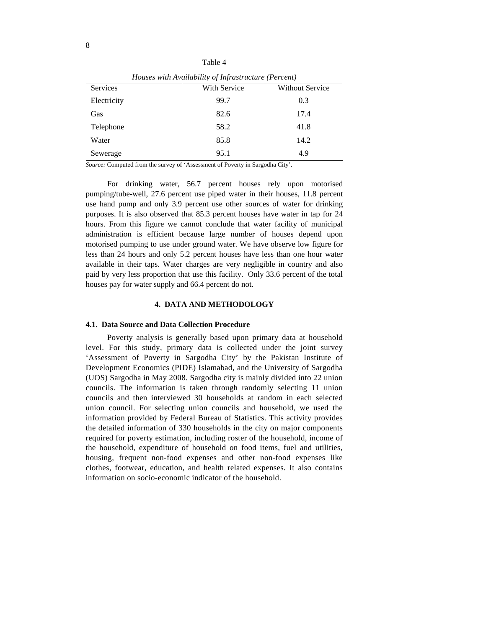| Table 4 |  |  |
|---------|--|--|
|---------|--|--|

|             | $\sim$ 110 model with 117 divide the $\sim$ $\sim$ 1.0 model motion $\sim$ $\sim$ 0.00 m/ |                      |
|-------------|-------------------------------------------------------------------------------------------|----------------------|
| Services    | With Service                                                                              | Without Service      |
| Electricity | 99.7                                                                                      | $\sim$ $\sim$<br>0.3 |
| Gas         | 82.6                                                                                      | 17.4                 |
| Telephone   | 58.2                                                                                      | 41.8                 |
| Water       | 85.8                                                                                      | 14.2                 |
| Sewerage    | 95.1                                                                                      | 4. 2                 |

*Houses with Availability of Infrastructure (Percent)*

*Source:* Computed from the survey of 'Assessment of Poverty in Sargodha City'.

For drinking water, 56.7 percent houses rely upon motorised pumping/tube-well, 27.6 percent use piped water in their houses, 11.8 percent use hand pump and only 3.9 percent use other sources of water for drinking purposes. It is also observed that 85.3 percent houses have water in tap for 24 hours. From this figure we cannot conclude that water facility of municipal administration is efficient because large number of houses depend upon motorised pumping to use under ground water. We have observe low figure for less than 24 hours and only 5.2 percent houses have less than one hour water available in their taps. Water charges are very negligible in country and also paid by very less proportion that use this facility. Only 33.6 percent of the total houses pay for water supply and 66.4 percent do not.

# **4. DATA AND METHODOLOGY**

#### **4.1. Data Source and Data Collection Procedure**

Poverty analysis is generally based upon primary data at household level. For this study, primary data is collected under the joint survey 'Assessment of Poverty in Sargodha City' by the Pakistan Institute of Development Economics (PIDE) Islamabad, and the University of Sargodha (UOS) Sargodha in May 2008. Sargodha city is mainly divided into 22 union councils. The information is taken through randomly selecting 11 union councils and then interviewed 30 households at random in each selected union council. For selecting union councils and household, we used the information provided by Federal Bureau of Statistics. This activity provides the detailed information of 330 households in the city on major components required for poverty estimation, including roster of the household, income of the household, expenditure of household on food items, fuel and utilities, housing, frequent non-food expenses and other non-food expenses like clothes, footwear, education, and health related expenses. It also contains information on socio-economic indicator of the household.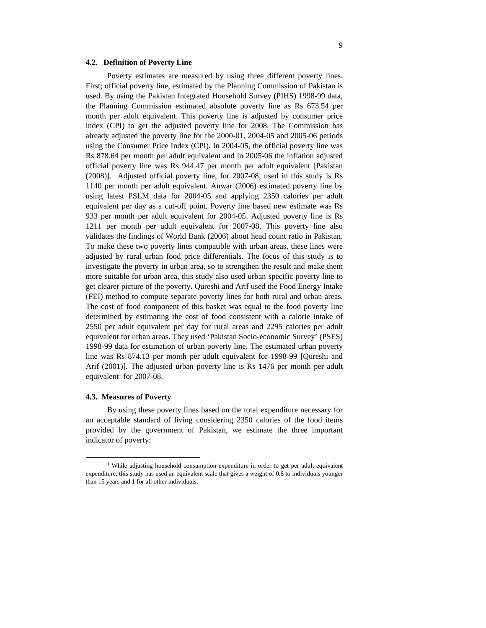#### **4.2. Definition of Poverty Line**

Poverty estimates are measured by using three different poverty lines. First; official poverty line, estimated by the Planning Commission of Pakistan is used. By using the Pakistan Integrated Household Survey (PIHS) 1998-99 data, the Planning Commission estimated absolute poverty line as Rs 673.54 per month per adult equivalent. This poverty line is adjusted by consumer price index (CPI) to get the adjusted poverty line for 2008. The Commission has already adjusted the poverty line for the 2000-01, 2004-05 and 2005-06 periods using the Consumer Price Index (CPI). In 2004-05, the official poverty line was Rs 878.64 per month per adult equivalent and in 2005-06 the inflation adjusted official poverty line was Rs 944.47 per month per adult equivalent [Pakistan (2008)]. Adjusted official poverty line, for 2007-08, used in this study is Rs 1140 per month per adult equivalent. Anwar (2006) estimated poverty line by using latest PSLM data for 2004-05 and applying 2350 calories per adult equivalent per day as a cut-off point. Poverty line based new estimate was Rs 933 per month per adult equivalent for 2004-05. Adjusted poverty line is Rs 1211 per month per adult equivalent for 2007-08. This poverty line also validates the findings of World Bank (2006) about head count ratio in Pakistan. To make these two poverty lines compatible with urban areas, these lines were adjusted by rural urban food price differentials. The focus of this study is to investigate the poverty in urban area, so to strengthen the result and make them more suitable for urban area, this study also used urban specific poverty line to get clearer picture of the poverty. Qureshi and Arif used the Food Energy Intake (FEI) method to compute separate poverty lines for both rural and urban areas. The cost of food component of this basket was equal to the food poverty line determined by estimating the cost of food consistent with a calorie intake of 2550 per adult equivalent per day for rural areas and 2295 calories per adult equivalent for urban areas. They used 'Pakistan Socio-economic Survey' (PSES) 1998-99 data for estimation of urban poverty line. The estimated urban poverty line was Rs 874.13 per month per adult equivalent for 1998-99 [Qureshi and Arif (2001)]. The adjusted urban poverty line is Rs 1476 per month per adult equivalent<sup>1</sup> for 2007-08. equivalent<sup>1</sup> for 2007-08.

# **4.3. Measures of Poverty**

By using these poverty lines based on the total expenditure necessary for an acceptable standard of living considering 2350 calories of the food items provided by the government of Pakistan, we estimate the three important indicator of poverty:

 <sup>1</sup> While adjusting household consumption expenditure in order to get per adult equivalent expenditure, this study has used an equivalent scale that gives a weight of 0.8 to individuals younger than 15 years and 1 for all other individuals.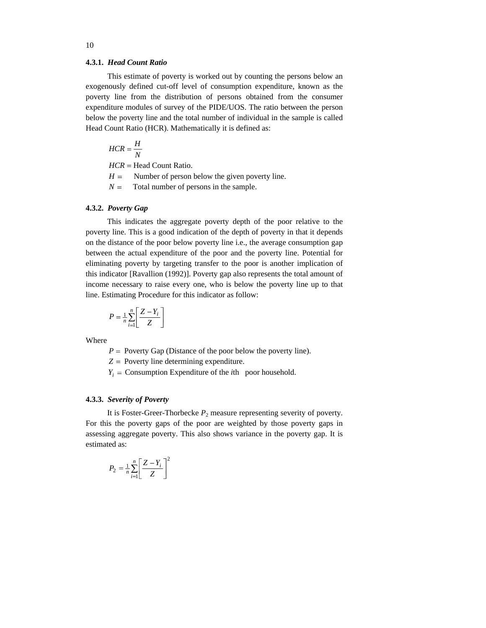# **4.3.1.** *Head Count Ratio*

This estimate of poverty is worked out by counting the persons below an exogenously defined cut-off level of consumption expenditure, known as the poverty line from the distribution of persons obtained from the consumer expenditure modules of survey of the PIDE/UOS. The ratio between the person below the poverty line and the total number of individual in the sample is called Head Count Ratio (HCR). Mathematically it is defined as:

$$
HCR = \frac{H}{N}
$$

*HCR* = Head Count Ratio.

- $H =$  Number of person below the given poverty line.
- $N =$  Total number of persons in the sample.

# **4.3.2.** *Poverty Gap*

This indicates the aggregate poverty depth of the poor relative to the poverty line. This is a good indication of the depth of poverty in that it depends on the distance of the poor below poverty line i.e., the average consumption gap between the actual expenditure of the poor and the poverty line. Potential for eliminating poverty by targeting transfer to the poor is another implication of this indicator [Ravallion (1992)]. Poverty gap also represents the total amount of income necessary to raise every one, who is below the poverty line up to that line. Estimating Procedure for this indicator as follow:

$$
P = \frac{1}{n} \sum_{i=1}^{n} \left[ \frac{Z - Y_i}{Z} \right]
$$

Where **We are also contained** the contact of the contact of the contact of the contact of the contact of the contact of the contact of the contact of the contact of the contact of the contact of the contact of the contact

 $P =$  Poverty Gap (Distance of the poor below the poverty line).

 $Z =$  Poverty line determining expenditure.

 $Y_i$  = Consumption Expenditure of the *i*th poor household.

# **4.3.3.** *Severity of Poverty*

It is Foster-Greer-Thorbecke  $P_2$  measure representing severity of poverty. For this the poverty gaps of the poor are weighted by those poverty gaps in assessing aggregate poverty. This also shows variance in the poverty gap. It is estimated as:  $\blacksquare$ 

$$
P_2 = \frac{1}{n} \sum_{i=1}^{n} \left[ \frac{Z - Y_i}{Z} \right]^2
$$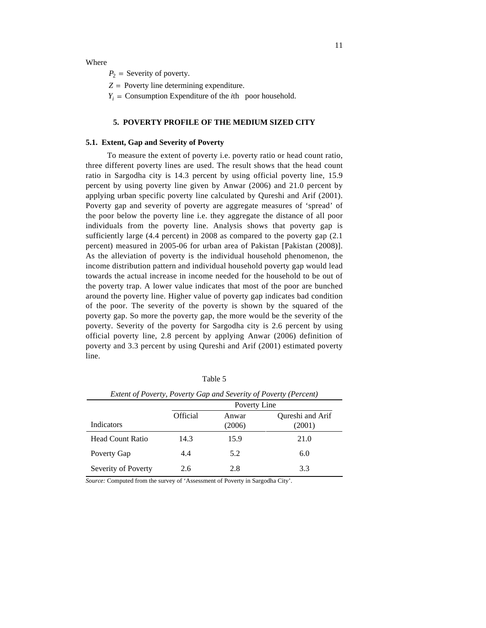Where **We are also contained** the contact of the contact of the contact of the contact of the contact of the contact of the contact of the contact of the contact of the contact of the contact of the contact of the contact

 $P_2$  = Severity of poverty.  $P_2$  = Severity of poverty.

 $Z =$  Poverty line determining expenditure.

 $Y_i$  = Consumption Expenditure of the *i*th poor household.

# **5. POVERTY PROFILE OF THE MEDIUM SIZED CITY**

# **5.1. Extent, Gap and Severity of Poverty**

To measure the extent of poverty i.e. poverty ratio or head count ratio, three different poverty lines are used. The result shows that the head count ratio in Sargodha city is 14.3 percent by using official poverty line, 15.9 percent by using poverty line given by Anwar (2006) and 21.0 percent by applying urban specific poverty line calculated by Qureshi and Arif (2001). Poverty gap and severity of poverty are aggregate measures of 'spread' of the poor below the poverty line i.e. they aggregate the distance of all poor individuals from the poverty line. Analysis shows that poverty gap is sufficiently large (4.4 percent) in 2008 as compared to the poverty gap (2.1 percent) measured in 2005-06 for urban area of Pakistan [Pakistan (2008)]. As the alleviation of poverty is the individual household phenomenon, the income distribution pattern and individual household poverty gap would lead towards the actual increase in income needed for the household to be out of the poverty trap. A lower value indicates that most of the poor are bunched around the poverty line. Higher value of poverty gap indicates bad condition of the poor. The severity of the poverty is shown by the squared of the poverty gap. So more the poverty gap, the more would be the severity of the poverty. Severity of the poverty for Sargodha city is 2.6 percent by using official poverty line, 2.8 percent by applying Anwar (2006) definition of poverty and 3.3 percent by using Qureshi and Arif (2001) estimated poverty line. The contract of the contract of the contract of the contract of the contract of the contract of the contract of the contract of the contract of the contract of the contract of the contract of the contract of the cont

|                     |          |              | Extent of Poverty, Poverty Gap and Severity of Poverty (Percent) |
|---------------------|----------|--------------|------------------------------------------------------------------|
|                     |          | Poverty Line |                                                                  |
|                     | Official | Anwar        | Qureshi and Arif                                                 |
| Indicators          |          | (2006)       | (2001)                                                           |
| Head Count Ratio    | 14.3     | 15.9         | 21.0                                                             |
| Poverty Gap         |          |              | 6.0                                                              |
| Severity of Poverty | 2.0      | 2.8          |                                                                  |

Table 5

*Source:* Computed from the survey of 'Assessment of Poverty in Sargodha City'.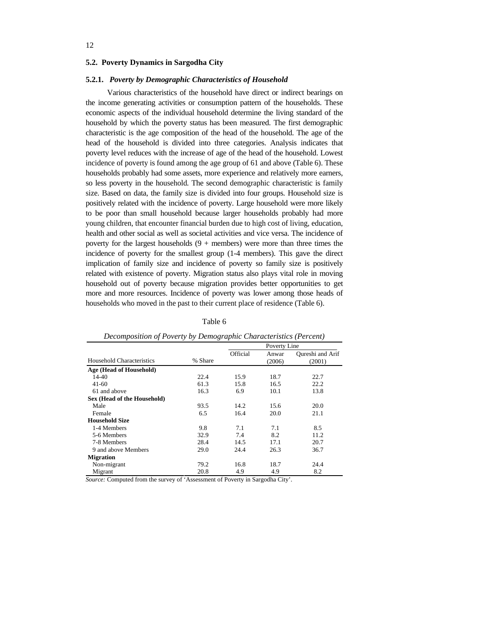# **5.2. Poverty Dynamics in Sargodha City**

#### **5.2.1.** *Poverty by Demographic Characteristics of Household*

Various characteristics of the household have direct or indirect bearings on the income generating activities or consumption pattern of the households. These economic aspects of the individual household determine the living standard of the household by which the poverty status has been measured. The first demographic characteristic is the age composition of the head of the household. The age of the head of the household is divided into three categories. Analysis indicates that poverty level reduces with the increase of age of the head of the household. Lowest incidence of poverty is found among the age group of 61 and above (Table 6). These households probably had some assets, more experience and relatively more earners, so less poverty in the household. The second demographic characteristic is family size. Based on data, the family size is divided into four groups. Household size is positively related with the incidence of poverty. Large household were more likely to be poor than small household because larger households probably had more young children, that encounter financial burden due to high cost of living, education, health and other social as well as societal activities and vice versa. The incidence of poverty for the largest households  $(9 +$  members) were more than three times the incidence of poverty for the smallest group (1-4 members). This gave the direct implication of family size and incidence of poverty so family size is positively related with existence of poverty. Migration status also plays vital role in moving household out of poverty because migration provides better opportunities to get more and more resources. Incidence of poverty was lower among those heads of households who moved in the past to their current place of residence (Table 6).

|                             | $\sim$ $\sim$ |          | Poverty Line |                  |
|-----------------------------|---------------|----------|--------------|------------------|
|                             |               | Official | Anwar        | Qureshi and Arif |
| Household Characteristics   | % Share       |          | (2006)       | (2001)           |
| Age (Head of Household)     |               |          |              |                  |
| 14-40                       | 22.4          | 15.9     | 18.7         | 22.7             |
| $41 - 60$                   | 61.3          | 15.8     | 16.5         | 22.2             |
| 61 and above                | 16.3          | 6.9      | 10.1         | 13.8             |
| Sex (Head of the Household) |               |          |              |                  |
| Male                        | 93.5          | 14.2     | 15.6         | 20.0             |
| Female                      | 6.5           | 16.4     | 20.0         | 21.1             |
| <b>Household Size</b>       |               |          |              |                  |
| 1-4 Members                 | 9.8           | 7.1      | 7.1          | 8.5              |
| 5-6 Members                 | 32.9          | 7.4      | 8.2          | 11.2             |
| 7-8 Members                 | 28.4          | 14.5     | 17.1         | 20.7             |
| 9 and above Members         | 29.0          | 24.4     | 26.3         | 36.7             |
| <b>Migration</b>            |               |          |              |                  |
| Non-migrant                 | 79.2          | 16.8     | 18.7         | 24.4             |
| Migrant                     | 20.8          | 4.9      | 4.9          | 8.2              |

# *Decomposition of Poverty by Demographic Characteristics (Percent)*

*Source:* Computed from the survey of 'Assessment of Poverty in Sargodha City'.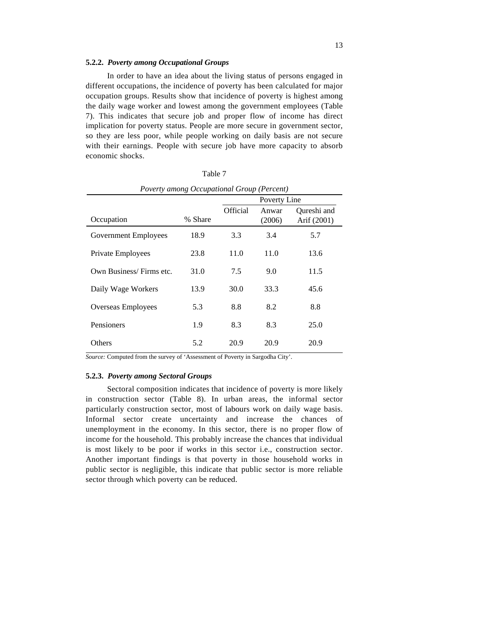# **5.2.2.** *Poverty among Occupational Groups*

In order to have an idea about the living status of persons engaged in different occupations, the incidence of poverty has been calculated for major occupation groups. Results show that incidence of poverty is highest among the daily wage worker and lowest among the government employees (Table 7). This indicates that secure job and proper flow of income has direct implication for poverty status. People are more secure in government sector, so they are less poor, while people working on daily basis are not secure with their earnings. People with secure job have more capacity to absorb economic shocks.

|                             | Poverty among Occupational Group (Percent) |          |                 |                            |
|-----------------------------|--------------------------------------------|----------|-----------------|----------------------------|
|                             |                                            |          | Poverty Line    |                            |
| Occupation                  | % Share                                    | Official | Anwar<br>(2006) | Qureshi and<br>Arif (2001) |
| <b>Government Employees</b> | 18.9                                       | 3.3      | 3.4             | 5.7                        |
| Private Employees           | 23.8                                       | 11.0     | 11.0            | 13.6                       |
| Own Business/Firms etc.     | 31.0                                       | 7.5      | 9.0             | 11.5                       |
| Daily Wage Workers          | 13.9                                       | 30.0     | 33.3            | 45.6                       |
| Overseas Employees          | 5.3                                        | 8.8      | 8.2             | 8.8                        |
| Pensioners                  | 1.9                                        | 8.3      | 8.3             | 25.0                       |
| Others                      | 5.2                                        | 20.9     | 20.9            | 20.9                       |

Table 7

*Source:* Computed from the survey of 'Assessment of Poverty in Sargodha City'.

# **5.2.3.** *Poverty among Sectoral Groups*

Sectoral composition indicates that incidence of poverty is more likely in construction sector (Table 8). In urban areas, the informal sector particularly construction sector, most of labours work on daily wage basis. Informal sector create uncertainty and increase the chances of unemployment in the economy. In this sector, there is no proper flow of income for the household. This probably increase the chances that individual is most likely to be poor if works in this sector i.e., construction sector. Another important findings is that poverty in those household works in public sector is negligible, this indicate that public sector is more reliable sector through which poverty can be reduced.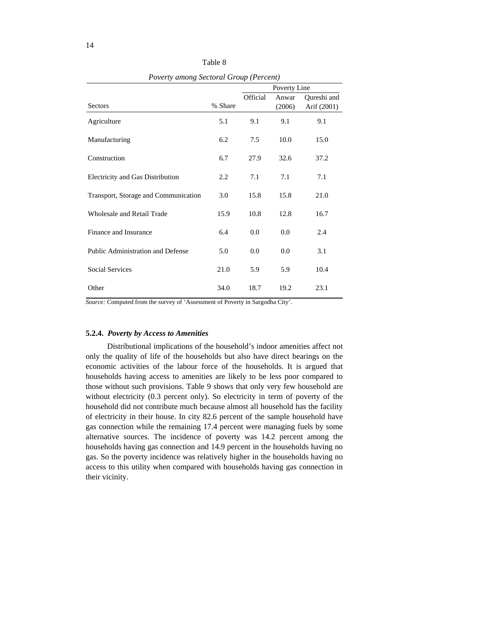| Poverty among Sectoral Group (Percent) |         |         |              |                                                      |
|----------------------------------------|---------|---------|--------------|------------------------------------------------------|
|                                        |         | ____    | Poverty Line |                                                      |
| Sectors                                | % Share |         |              | Official Anwar Qureshi and<br>$(2006)$ Arif $(2001)$ |
|                                        |         |         |              |                                                      |
| Agriculture                            | 5.1     | 9.1     | 9.1          | 9.1                                                  |
| Manufacturing                          | 6.2     | 7.5     | $10.0\,$     | 15.0                                                 |
| Construction                           | 6.7     | 27.9    | 32.6         | 37.2                                                 |
| Electricity and Gas Distribution       | 2.2     | 7.1     | 7.1          | 7.1                                                  |
| Transport, Storage and Communication   | 3.0     | 15.8    | 15.8         | 21.0                                                 |
|                                        |         |         |              |                                                      |
| Wholesale and Retail Trade             | 15.9    | 10.8    | 12.8         | 16.7                                                 |
| Finance and Insurance                  | 6.4     | $0.0\,$ | $0.0\,$      | 2.4                                                  |
| Public Administration and Defense      | 5.0     | $0.0\,$ | $0.0\,$      | 3.1                                                  |
| Social Services                        | 21.0    | 5.9     | 5.9          | 10.4                                                 |
|                                        |         |         |              |                                                      |
| Other                                  | 34.0    | 18.7    | 19.2         | 23.1                                                 |

Table 8

*Source:* Computed from the survey of 'Assessment of Poverty in Sargodha City'.

#### **5.2.4.** *Poverty by Access to Amenities*

Distributional implications of the household's indoor amenities affect not only the quality of life of the households but also have direct bearings on the economic activities of the labour force of the households. It is argued that households having access to amenities are likely to be less poor compared to those without such provisions. Table 9 shows that only very few household are without electricity (0.3 percent only). So electricity in term of poverty of the household did not contribute much because almost all household has the facility of electricity in their house. In city 82.6 percent of the sample household have gas connection while the remaining 17.4 percent were managing fuels by some alternative sources. The incidence of poverty was 14.2 percent among the households having gas connection and 14.9 percent in the households having no gas. So the poverty incidence was relatively higher in the households having no access to this utility when compared with households having gas connection in their vicinity.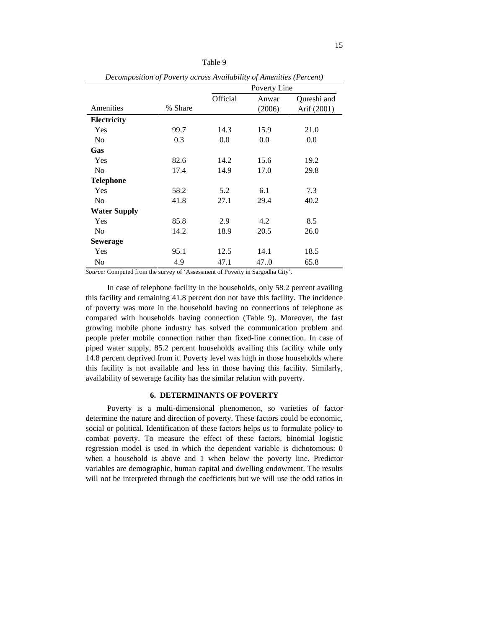|                     | Decomposition of Poverty across Availability of Amenities (Percent) |          |              |             |
|---------------------|---------------------------------------------------------------------|----------|--------------|-------------|
|                     |                                                                     |          | Poverty Line |             |
|                     |                                                                     | Official | Anwar        | Qureshi and |
| Amenities           | % Share                                                             |          | (2006)       | Arif (2001) |
| <b>Electricity</b>  |                                                                     |          |              |             |
| Yes                 | 99.7                                                                | 14.3     | 15.9         | 21.0        |
| <b>No</b>           | 0.3                                                                 | $0.0\,$  | $0.0\,$      | $0.0\,$     |
| Gas                 |                                                                     |          |              |             |
| Yes                 | 82.6                                                                | 14.2     | 15.6         | 19.2        |
| No                  | 17.4                                                                | 14.9     | 17.0         | 29.8        |
| <b>Telephone</b>    |                                                                     |          |              |             |
| Yes                 | 58.2                                                                | 5.2      | 6.1          | 7.3         |
| <b>No</b>           | 41.8                                                                | 27.1     | 29.4         | 40.2        |
| <b>Water Supply</b> |                                                                     |          |              |             |
| Yes                 | 85.8                                                                | 2.9      | 4.2          | 8.5         |
| No                  | 14.2                                                                | 18.9     | 20.5         | 26.0        |
| Sewerage            |                                                                     |          |              |             |
| Yes                 | 95.1                                                                | 12.5     | 14.1         | 18.5        |
| No                  | 4.9                                                                 | 47.1     | 47.0         | 65.8        |
|                     |                                                                     |          |              |             |

*Source:* Computed from the survey of 'Assessment of Poverty in Sargodha City'.

In case of telephone facility in the households, only 58.2 percent availing this facility and remaining 41.8 percent don not have this facility. The incidence of poverty was more in the household having no connections of telephone as compared with households having connection (Table 9). Moreover, the fast growing mobile phone industry has solved the communication problem and people prefer mobile connection rather than fixed-line connection. In case of piped water supply, 85.2 percent households availing this facility while only 14.8 percent deprived from it. Poverty level was high in those households where this facility is not available and less in those having this facility. Similarly, availability of sewerage facility has the similar relation with poverty.

# **6. DETERMINANTS OF POVERTY**

Poverty is a multi-dimensional phenomenon, so varieties of factor determine the nature and direction of poverty. These factors could be economic, social or political. Identification of these factors helps us to formulate policy to combat poverty. To measure the effect of these factors, binomial logistic regression model is used in which the dependent variable is dichotomous: 0 when a household is above and 1 when below the poverty line. Predictor variables are demographic, human capital and dwelling endowment. The results will not be interpreted through the coefficients but we will use the odd ratios in

Table 9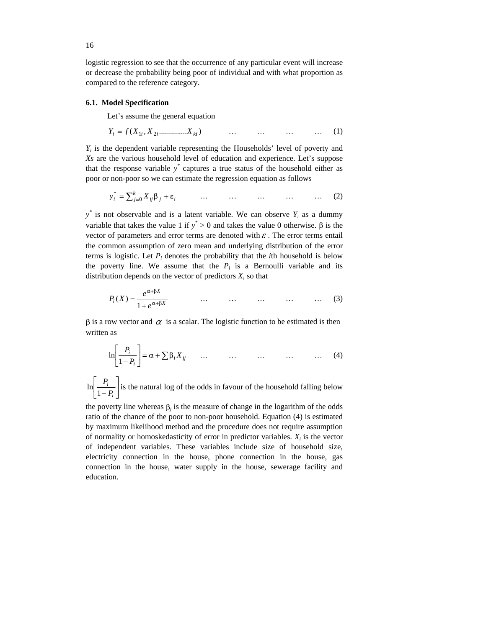logistic regression to see that the occurrence of any particular event will increase or decrease the probability being poor of individual and with what proportion as compared to the reference category.

# **6.1. Model Specification**

Let's assume the general equation

$$
Y_i = f(X_{1i}, X_{2i}, \dots, X_{ki}) \qquad \dots \qquad \dots \qquad \dots \qquad (1)
$$

*Yi* is the dependent variable representing the Households' level of poverty and *Xs* are the various household level of education and experience. Let's suppose that the response variable  $y^*$  captures a true status of the household either as poor or non-poor so we can estimate the regression equation as follows

$$
y_i^* = \sum_{j=0}^k X_{ij} \beta_j + \varepsilon_i \qquad \qquad \dots \qquad \qquad \dots \qquad \dots \qquad \dots \qquad \dots \qquad (2)
$$

 $y^*$  is not observable and is a latent variable. We can observe  $Y_i$  as a dummy variable that takes the value 1 if  $y^* > 0$  and takes the value 0 otherwise.  $\beta$  is the vector of parameters and error terms are denoted with  $\varepsilon$ . The error terms entail the common assumption of zero mean and underlying distribution of the error terms is logistic. Let  $P_i$  denotes the probability that the *i*th household is below the poverty line. We assume that the  $P_i$  is a Bernoulli variable and its distribution depends on the vector of predictors *X*, so that

$$
P_i(X) = \frac{e^{\alpha + \beta X}}{1 + e^{\alpha + \beta X}} \qquad \qquad \dots \qquad \dots \qquad \dots \qquad \dots \qquad \dots \qquad (3)
$$

 $\beta$  is a row vector and  $\alpha$  is a scalar. The logistic function to be estimated is then written as **a** second containing the second containing  $\mathbf{r}$  and  $\mathbf{r}$  and  $\mathbf{r}$  and  $\mathbf{r}$  and  $\mathbf{r}$  and  $\mathbf{r}$  and  $\mathbf{r}$  and  $\mathbf{r}$  and  $\mathbf{r}$  and  $\mathbf{r}$  and  $\mathbf{r}$  and  $\mathbf{r}$  and  $\mathbf{r}$  an

$$
\ln\left[\frac{P_i}{1-P_i}\right] = \alpha + \sum \beta_i X_{ij} \qquad \dots \qquad \dots \qquad \dots \qquad \dots \qquad \dots \qquad (4)
$$

*i*  $\mu$  is the natural log of the odds in favour of the household folling below. *P*<sub>*i*</sub> | *<i>P*<sub>*i*</sub> | *<i>P i* | *<i>P <i><i>i <i>P <i> <i>P***<sub>***i***</sub> <b>***<i>P***<sub>***i***</sub>** *<i>P***<sub>***i***</sub> <b>***<i>P***<sub>***i***</sub>** *<i>P***<sub>***i***</sub> <b>***<i>P <i>n***<sub>1</sub></sup> <b>***<i>P <i>n***<sub>1</sub></sup> <b>***<i>P <i>n***<sub>1</sub></sup> <b>** *<i>P <i>n***<sub>1</sub></sup> <b>***<i>n*  $P_i$  . The class are set that is of the set that is for a set of the three set of the following the latter set of the set of the set of the set of the set of the set of the set of the set of the set of the set of the set  $\ln \left| \frac{I_i}{1-P_i} \right|$  is the natural log of the odds in favour of the household falling below

the poverty line whereas  $\beta_j$  is the measure of change in the logarithm of the odds ratio of the chance of the poor to non-poor household. Equation (4) is estimated by maximum likelihood method and the procedure does not require assumption of normality or homoskedasticity of error in predictor variables.  $X_i$  is the vector is the vector of independent variables. These variables include size of household size, electricity connection in the house, phone connection in the house, gas connection in the house, water supply in the house, sewerage facility and education.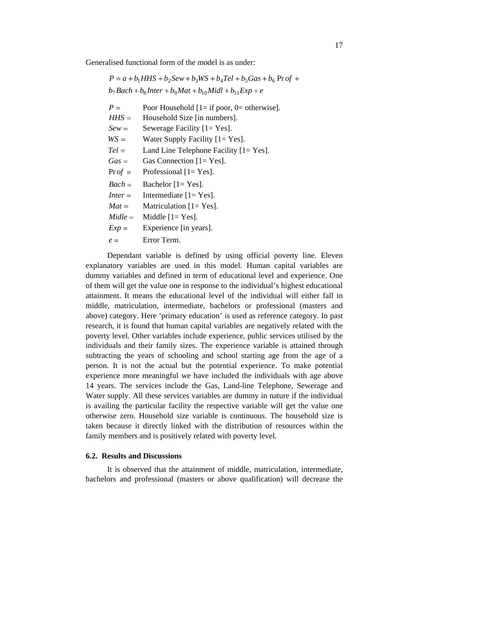Generalised functional form of the model is as under:

|         | $P = a + b_1 H H S + b_2 Sew + b_3 W S + b_4 Tel + b_5 Gas + b_6 Pr of +$ |
|---------|---------------------------------------------------------------------------|
|         | $b_7 Bach + b_8 Inter + b_9 Mat + b_{10} Midl + b_{11} Exp + e$           |
| $P =$   | Poor Household $[1 = if poor, 0 = otherwise]$ .                           |
| $HHS =$ | Household Size [in numbers].                                              |
| $Sew =$ | Sewerage Facility [1= Yes].                                               |
| $WS =$  | Water Supply Facility [1= Yes].                                           |
| $Tel =$ | Land Line Telephone Facility [1= Yes].                                    |
|         | $Gas =$ Gas Connection [1= Yes].                                          |
|         | $Pr$ of = Professional [1= Yes].                                          |
|         | $\textit{Back} =$ Bachelor [1= Yes].                                      |
|         | <i>Inter</i> = Intermediate $[1 = Yes]$ .                                 |
|         | $Mat =$ Matriculation [1= Yes].                                           |
|         | $Midle =$ Middle $[1 = Yes]$ .                                            |
| $Exp =$ | Experience [in years].                                                    |
| $e =$   | Error Term.                                                               |

Dependant variable is defined by using official poverty line. Eleven explanatory variables are used in this model. Human capital variables are dummy variables and defined in term of educational level and experience. One of them will get the value one in response to the individual's highest educational attainment. It means the educational level of the individual will either fall in middle, matriculation, intermediate, bachelors or professional (masters and above) category. Here 'primary education' is used as reference category. In past research, it is found that human capital variables are negatively related with the poverty level. Other variables include experience, public services utilised by the individuals and their family sizes. The experience variable is attained through subtracting the years of schooling and school starting age from the age of a person. It is not the actual but the potential experience. To make potential experience more meaningful we have included the individuals with age above 14 years. The services include the Gas, Land-line Telephone, Sewerage and Water supply. All these services variables are dummy in nature if the individual is availing the particular facility the respective variable will get the value one otherwise zero. Household size variable is continuous. The household size is taken because it directly linked with the distribution of resources within the family members and is positively related with poverty level.

# **6.2. Results and Discussions**

It is observed that the attainment of middle, matriculation, intermediate, bachelors and professional (masters or above qualification) will decrease the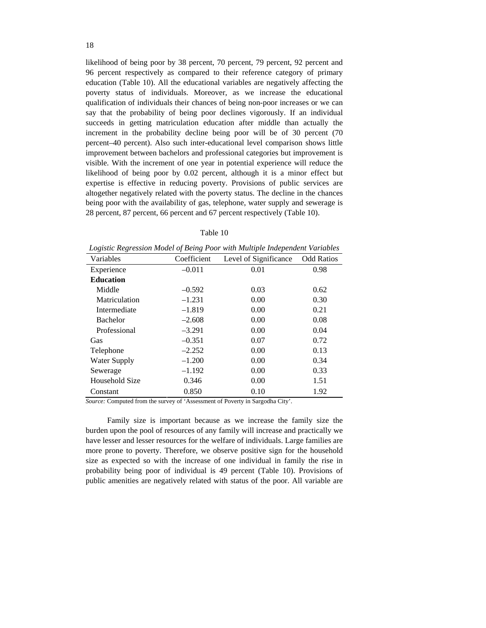likelihood of being poor by 38 percent, 70 percent, 79 percent, 92 percent and 96 percent respectively as compared to their reference category of primary education (Table 10). All the educational variables are negatively affecting the poverty status of individuals. Moreover, as we increase the educational qualification of individuals their chances of being non-poor increases or we can say that the probability of being poor declines vigorously. If an individual succeeds in getting matriculation education after middle than actually the increment in the probability decline being poor will be of 30 percent (70 percent–40 percent). Also such inter-educational level comparison shows little improvement between bachelors and professional categories but improvement is visible. With the increment of one year in potential experience will reduce the likelihood of being poor by 0.02 percent, although it is a minor effect but expertise is effective in reducing poverty. Provisions of public services are altogether negatively related with the poverty status. The decline in the chances being poor with the availability of gas, telephone, water supply and sewerage is 28 percent, 87 percent, 66 percent and 67 percent respectively (Table 10).

| Table 10 |  |
|----------|--|
|----------|--|

|                     |             | Logistic Regression model of Deing I our with manple maependent variables |      |
|---------------------|-------------|---------------------------------------------------------------------------|------|
| Variables           | Coefficient | Level of Significance Odd Ratios                                          |      |
| Experience          | $-0.011$    | 0.01                                                                      | 0.98 |
| Education           |             |                                                                           |      |
| Middle              | $-0.592$    | 0.03                                                                      | 0.62 |
| Matriculation       | $-1.231$    | $0.00\,$                                                                  | 0.30 |
| Intermediate        | $-1.819$    | $0.00\,$                                                                  | 0.21 |
| Bachelor            | $-2.608$    | $0.00\,$                                                                  | 0.08 |
| Professional        | $-3.291$    | $0.00\,$                                                                  | 0.04 |
| Gas                 | $-0.351$    | 0.07                                                                      | 0.72 |
| Telephone           | $-2.252$    | $0.00\,$                                                                  | 0.13 |
| <b>Water Supply</b> | $-1.200$    | $0.00\,$                                                                  | 0.34 |
| Sewerage            | $-1.192$    | 0.00                                                                      | 0.33 |
| Household Size      | 0.346       | $0.00\,$                                                                  | 1.51 |
| Constant            | 0.850       | 0.10                                                                      | 1.92 |

*Logistic Regression Model of Being Poor with Multiple Independent Variables*

*Source:* Computed from the survey of 'Assessment of Poverty in Sargodha City'.

Family size is important because as we increase the family size the burden upon the pool of resources of any family will increase and practically we have lesser and lesser resources for the welfare of individuals. Large families are more prone to poverty. Therefore, we observe positive sign for the household size as expected so with the increase of one individual in family the rise in probability being poor of individual is 49 percent (Table 10). Provisions of public amenities are negatively related with status of the poor. All variable are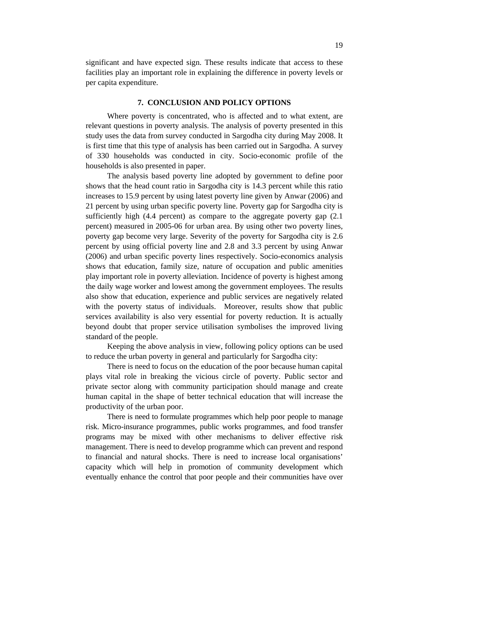significant and have expected sign. These results indicate that access to these facilities play an important role in explaining the difference in poverty levels or per capita expenditure.

# **7. CONCLUSION AND POLICY OPTIONS**

Where poverty is concentrated, who is affected and to what extent, are relevant questions in poverty analysis. The analysis of poverty presented in this study uses the data from survey conducted in Sargodha city during May 2008. It is first time that this type of analysis has been carried out in Sargodha. A survey of 330 households was conducted in city. Socio-economic profile of the households is also presented in paper.

The analysis based poverty line adopted by government to define poor shows that the head count ratio in Sargodha city is 14.3 percent while this ratio increases to 15.9 percent by using latest poverty line given by Anwar (2006) and 21 percent by using urban specific poverty line. Poverty gap for Sargodha city is sufficiently high (4.4 percent) as compare to the aggregate poverty gap (2.1 percent) measured in 2005-06 for urban area. By using other two poverty lines, poverty gap become very large. Severity of the poverty for Sargodha city is 2.6 percent by using official poverty line and 2.8 and 3.3 percent by using Anwar (2006) and urban specific poverty lines respectively. Socio-economics analysis shows that education, family size, nature of occupation and public amenities play important role in poverty alleviation. Incidence of poverty is highest among the daily wage worker and lowest among the government employees. The results also show that education, experience and public services are negatively related with the poverty status of individuals. Moreover, results show that public services availability is also very essential for poverty reduction. It is actually beyond doubt that proper service utilisation symbolises the improved living standard of the people.

Keeping the above analysis in view, following policy options can be used to reduce the urban poverty in general and particularly for Sargodha city:

There is need to focus on the education of the poor because human capital plays vital role in breaking the vicious circle of poverty. Public sector and private sector along with community participation should manage and create human capital in the shape of better technical education that will increase the productivity of the urban poor.

There is need to formulate programmes which help poor people to manage risk. Micro-insurance programmes, public works programmes, and food transfer programs may be mixed with other mechanisms to deliver effective risk management. There is need to develop programme which can prevent and respond to financial and natural shocks. There is need to increase local organisations' capacity which will help in promotion of community development which eventually enhance the control that poor people and their communities have over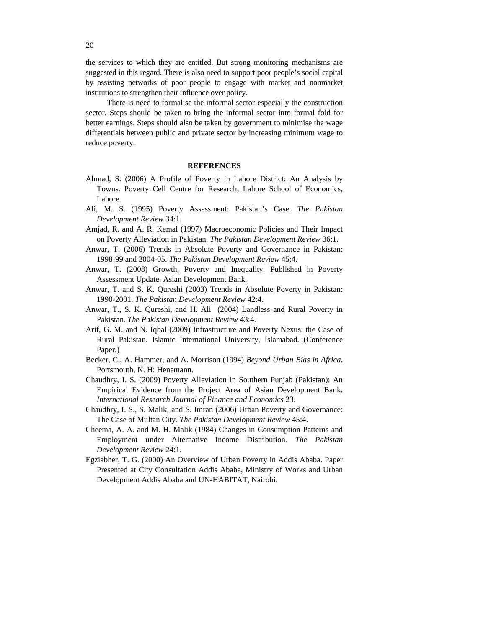the services to which they are entitled. But strong monitoring mechanisms are suggested in this regard. There is also need to support poor people's social capital by assisting networks of poor people to engage with market and nonmarket institutions to strengthen their influence over policy.

There is need to formalise the informal sector especially the construction sector. Steps should be taken to bring the informal sector into formal fold for better earnings. Steps should also be taken by government to minimise the wage differentials between public and private sector by increasing minimum wage to reduce poverty.

# **REFERENCES**

- Ahmad, S. (2006) A Profile of Poverty in Lahore District: An Analysis by Towns. Poverty Cell Centre for Research, Lahore School of Economics, Lahore. The contract of the contract of the contract of the contract of the contract of the contract of the contract of the contract of the contract of the contract of the contract of the contract of the contract of the co
- Ali, M. S. (1995) Poverty Assessment: Pakistan's Case. *The Pakistan Development Review* 34:1.
- Amjad, R. and A. R. Kemal (1997) Macroeconomic Policies and Their Impact on Poverty Alleviation in Pakistan. *The Pakistan Development Review* 36:1.
- Anwar, T. (2006) Trends in Absolute Poverty and Governance in Pakistan: 1998-99 and 2004-05. *The Pakistan Development Review* 45:4.
- Anwar, T. (2008) Growth, Poverty and Inequality. Published in Poverty Assessment Update. Asian Development Bank.
- Anwar, T. and S. K. Qureshi (2003) Trends in Absolute Poverty in Pakistan: 1990-2001. *The Pakistan Development Review* 42:4.
- Anwar, T., S. K. Qureshi, and H. Ali (2004) Landless and Rural Poverty in Pakistan. *The Pakistan Development Review* 43:4.
- Arif, G. M. and N. Iqbal (2009) Infrastructure and Poverty Nexus: the Case of Rural Pakistan. Islamic International University, Islamabad. (Conference Paper.)
- Becker, C., A. Hammer, and A. Morrison (1994) *Beyond Urban Bias in Africa*. Portsmouth, N. H: Henemann.
- Chaudhry, I. S. (2009) Poverty Alleviation in Southern Punjab (Pakistan): An Empirical Evidence from the Project Area of Asian Development Bank. *International Research Journal of Finance and Economics* 23.
- Chaudhry, I. S., S. Malik, and S. Imran (2006) Urban Poverty and Governance: The Case of Multan City. *The Pakistan Development Review* 45:4.
- Cheema, A. A. and M. H. Malik (1984) Changes in Consumption Patterns and Employment under Alternative Income Distribution. *The Pakistan Development Review* 24:1.
- Egziabher, T. G. (2000) An Overview of Urban Poverty in Addis Ababa. Paper Presented at City Consultation Addis Ababa, Ministry of Works and Urban Development Addis Ababa and UN-HABITAT, Nairobi.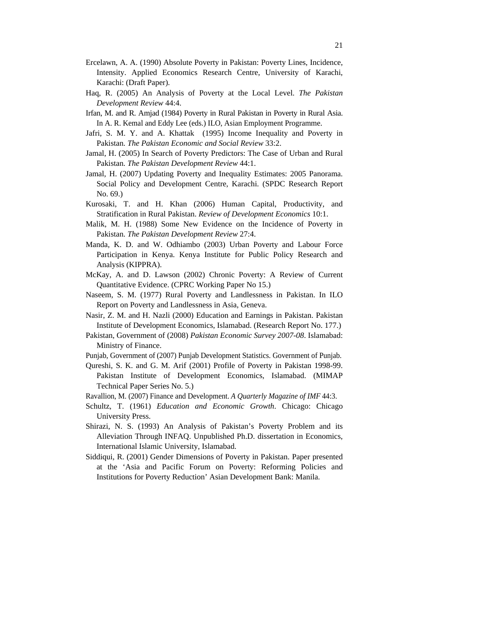- Ercelawn, A. A. (1990) Absolute Poverty in Pakistan: Poverty Lines, Incidence, Intensity. Applied Economics Research Centre, University of Karachi, Karachi: (Draft Paper).
- Haq, R. (2005) An Analysis of Poverty at the Local Level. *The Pakistan Development Review* 44:4.
- Irfan, M. and R. Amjad (1984) Poverty in Rural Pakistan in Poverty in Rural Asia. In A. R. Kemal and Eddy Lee (eds.) ILO, Asian Employment Programme.
- Jafri, S. M. Y. and A. Khattak (1995) Income Inequality and Poverty in Pakistan. *The Pakistan Economic and Social Review* 33:2.
- Jamal, H. (2005) In Search of Poverty Predictors: The Case of Urban and Rural Pakistan. *The Pakistan Development Review* 44:1.
- Jamal, H. (2007) Updating Poverty and Inequality Estimates: 2005 Panorama. Social Policy and Development Centre, Karachi. (SPDC Research Report No. 69.)
- Kurosaki, T. and H. Khan (2006) Human Capital, Productivity, and Stratification in Rural Pakistan. *Review of Development Economics* 10:1.
- Malik, M. H. (1988) Some New Evidence on the Incidence of Poverty in Pakistan. *The Pakistan Development Review* 27:4.
- Manda, K. D. and W. Odhiambo (2003) Urban Poverty and Labour Force Participation in Kenya. Kenya Institute for Public Policy Research and Analysis (KIPPRA).
- McKay, A. and D. Lawson (2002) Chronic Poverty: A Review of Current Quantitative Evidence. (CPRC Working Paper No 15.)
- Naseem, S. M. (1977) Rural Poverty and Landlessness in Pakistan. In ILO Report on Poverty and Landlessness in Asia, Geneva.
- Nasir, Z. M. and H. Nazli (2000) Education and Earnings in Pakistan. Pakistan Institute of Development Economics, Islamabad. (Research Report No. 177.)
- Pakistan, Government of (2008) *Pakistan Economic Survey 2007-08*. Islamabad: Ministry of Finance.
- Punjab, Government of (2007) Punjab Development Statistics. Government of Punjab.
- Qureshi, S. K. and G. M. Arif (2001) Profile of Poverty in Pakistan 1998-99. Pakistan Institute of Development Economics, Islamabad. (MIMAP Technical Paper Series No. 5.)
- Ravallion, M. (2007) Finance and Development. *A Quarterly Magazine of IMF* 44:3.
- Schultz, T. (1961) *Education and Economic Growth*. Chicago: Chicago University Press.
- Shirazi, N. S. (1993) An Analysis of Pakistan's Poverty Problem and its Alleviation Through INFAQ. Unpublished Ph.D. dissertation in Economics, International Islamic University, Islamabad.
- Siddiqui, R. (2001) Gender Dimensions of Poverty in Pakistan. Paper presented at the 'Asia and Pacific Forum on Poverty: Reforming Policies and Institutions for Poverty Reduction' Asian Development Bank: Manila.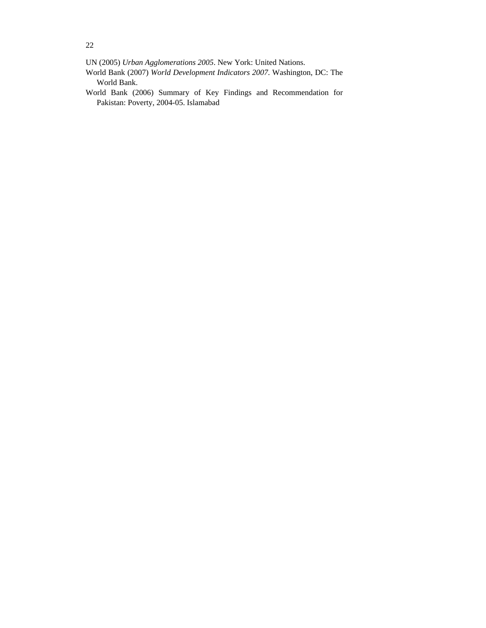UN (2005) *Urban Agglomerations 2005*. New York: United Nations.

World Bank (2007) *World Development Indicators 2007*. Washington, DC: The World Bank.

World Bank (2006) Summary of Key Findings and Recommendation for Pakistan: Poverty, 2004-05. Islamabad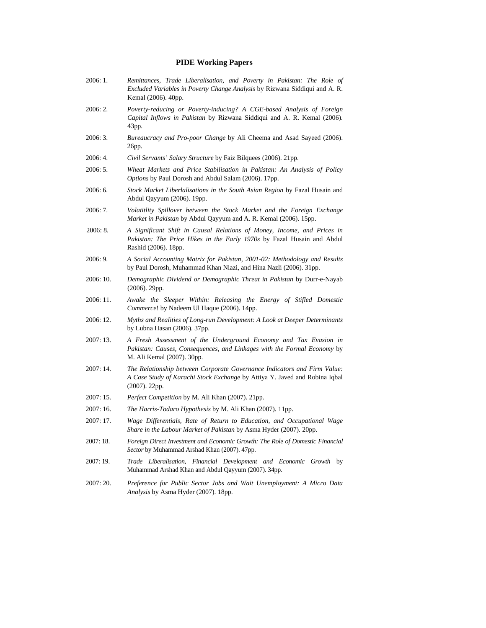# **PIDE Working Papers**

- 2006: 1. *Remittances, Trade Liberalisation, and Poverty in Pakistan: The Role of Excluded Variables in Poverty Change Analysis* by Rizwana Siddiqui and A. R. Kemal (2006). 40pp.
- 2006: 2. *Poverty-reducing or Poverty-inducing? A CGE-based Analysis of Foreign Capital Inflows in Pakistan* by Rizwana Siddiqui and A. R. Kemal (2006). 43pp.
- 2006: 3. *Bureaucracy and Pro-poor Change* by Ali Cheema and Asad Sayeed (2006). 26pp.
- 2006: 4. *Civil Servants' Salary Structure* by Faiz Bilquees (2006). 21pp.
- 2006: 5. *Wheat Markets and Price Stabilisation in Pakistan: An Analysis of Policy Options* by Paul Dorosh and Abdul Salam (2006). 17pp.
- 2006: 6. *Stock Market Liberlalisations in the South Asian Region* by Fazal Husain and Abdul Qayyum (2006). 19pp.
- 2006: 7. *Volatitlity Spillover between the Stock Market and the Foreign Exchange Market in Pakistan* by Abdul Qayyum and A. R. Kemal (2006). 15pp.
- 2006: 8. *A Significant Shift in Causal Relations of Money, Income, and Prices in Pakistan: The Price Hikes in the Early 1970s* by Fazal Husain and Abdul Rashid (2006). 18pp.
- 2006: 9. *A Social Accounting Matrix for Pakistan, 2001-02: Methodology and Results* by Paul Dorosh, Muhammad Khan Niazi, and Hina Nazli (2006). 31pp.
- 2006: 10. *Demographic Dividend or Demographic Threat in Pakistan* by Durr-e-Nayab (2006). 29pp.
- 2006: 11. *Awake the Sleeper Within: Releasing the Energy of Stifled Domestic Commerce*! by Nadeem Ul Haque (2006). 14pp.
- 2006: 12. *Myths and Realities of Long-run Development: A Look at Deeper Determinants* by Lubna Hasan (2006). 37pp.
- 2007: 13. *A Fresh Assessment of the Underground Economy and Tax Evasion in Pakistan: Causes, Consequences, and Linkages with the Formal Economy* by M. Ali Kemal (2007). 30pp.
- 2007: 14. *The Relationship between Corporate Governance Indicators and Firm Value: A Case Study of Karachi Stock Exchange* by Attiya Y. Javed and Robina Iqbal (2007). 22pp.
- 2007: 15. *Perfect Competition* by M. Ali Khan (2007). 21pp.
- 2007: 16. *The Harris-Todaro Hypothesis* by M. Ali Khan (2007). 11pp.
- 2007: 17. *Wage Dif erentials, Rate of Return to Education, and Occupational Wage Share in the Labour Market of Pakistan* by Asma Hyder (2007). 20pp.
- 2007: 18. *Foreign Direct Investment and Economic Growth: The Role of Domestic Financial Sector* by Muhammad Arshad Khan (2007). 47pp.
- 2007: 19. *Trade Liberalisation, Financial Development and Economic Growth* by Muhammad Arshad Khan and Abdul Qayyum (2007). 34pp.
- 2007: 20. *Preference for Public Sector Jobs and Wait Unemployment: A Micro Data Analysis* by Asma Hyder (2007). 18pp.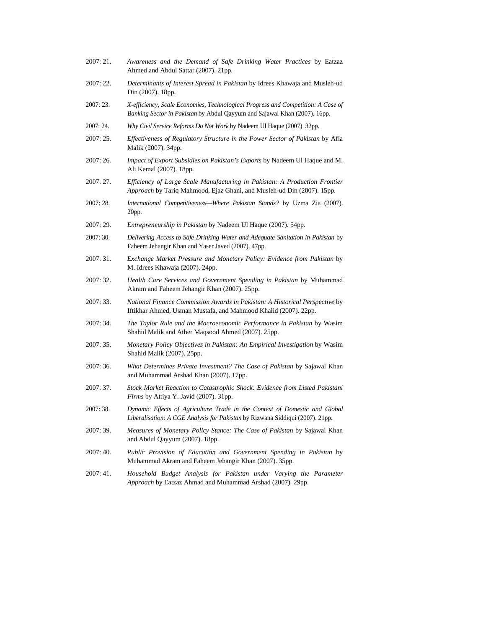2007: 21. *Awareness and the Demand of Safe Drinking Water Practices* by Eatzaz Ahmed and Abdul Sattar (2007). 21pp. 2007: 22. *Determinants of Interest Spread in Pakistan* by Idrees Khawaja and Musleh-ud Din (2007). 18pp. 2007: 23. *X-efficiency, Scale Economies, Technological Progress and Competition: A Case of Banking Sector in Pakistan* by Abdul Qayyum and Sajawal Khan (2007). 16pp. 2007: 24. *Why Civil Service Reforms Do Not Work* by Nadeem Ul Haque (2007). 32pp. 2007: 25. *Ef ectiveness of Regulatory Structure in the Power Sector of Pakistan* by Afia Malik (2007). 34pp. 2007: 26. *Impact of Export Subsidies on Pakistan's Exports* by Nadeem Ul Haque and M. Ali Kemal (2007). 18pp. 2007: 27. *Ef iciency of Large Scale Manufacturing in Pakistan: A Production Frontier Approach* by Tariq Mahmood, Ejaz Ghani, and Musleh-ud Din (2007). 15pp. 2007: 28. *International Competitiveness—Where Pakistan Stands?* by Uzma Zia (2007). 20pp. 2007: 29. *Entrepreneurship in Pakistan* by Nadeem Ul Haque (2007). 54pp. 2007: 30. *Delivering Access to Safe Drinking Water and Adequate Sanitation in Pakistan* by Faheem Jehangir Khan and Yaser Javed (2007). 47pp. 2007: 31. *Exchange Market Pressure and Monetary Policy: Evidence from Pakistan* by M. Idrees Khawaja (2007). 24pp. 2007: 32. *Health Care Services and Government Spending in Pakistan* by Muhammad Akram and Faheem Jehangir Khan (2007). 25pp. 2007: 33. *National Finance Commission Awards in Pakistan: A Historical Perspective* by Iftikhar Ahmed, Usman Mustafa, and Mahmood Khalid (2007). 22pp. 2007: 34. *The Taylor Rule and the Macroeconomic Performance in Pakistan* by Wasim Shahid Malik and Ather Maqsood Ahmed (2007). 25pp. 2007: 35. *Monetary Policy Objectives in Pakistan: An Empirical Investigation* by Wasim Shahid Malik (2007). 25pp. 2007: 36. *What Determines Private Investment? The Case of Pakistan* by Sajawal Khan and Muhammad Arshad Khan (2007). 17pp. 2007: 37. *Stock Market Reaction to Catastrophic Shock: Evidence from Listed Pakistani Firms* by Attiya Y. Javid (2007). 31pp. 2007: 38. *Dynamic Ef ects of Agriculture Trade in the Context of Domestic and Global Liberalisation: A CGE Analysis for Pakistan* by Rizwana Siddiqui (2007). 21pp. 2007: 39. *Measures of Monetary Policy Stance: The Case of Pakistan* by Sajawal Khan and Abdul Qayyum (2007). 18pp. 2007: 40. *Public Provision of Education and Government Spending in Pakistan* by Muhammad Akram and Faheem Jehangir Khan (2007). 35pp. 2007: 41. *Household Budget Analysis for Pakistan under Varying the Parameter Approach* by Eatzaz Ahmad and Muhammad Arshad (2007). 29pp.